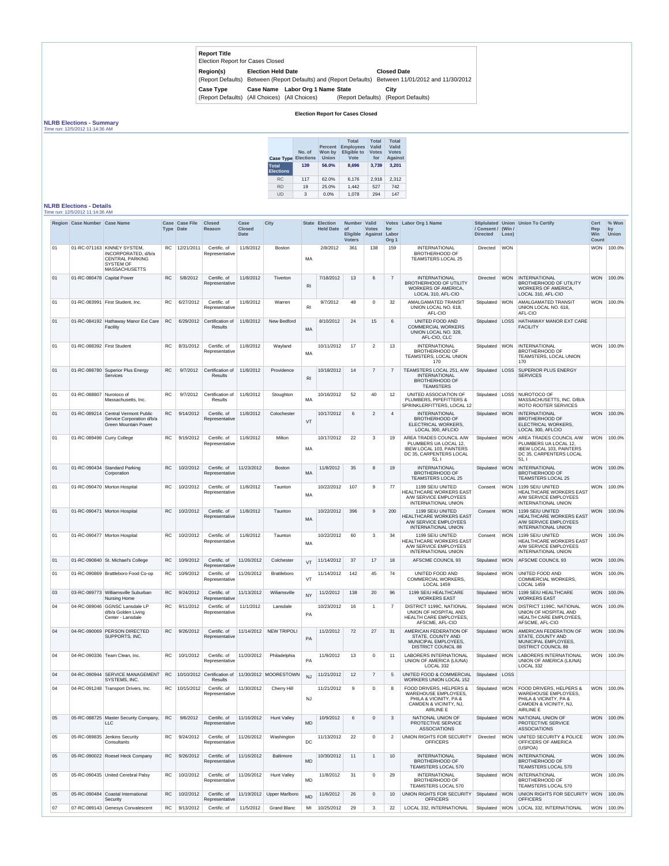| <b>Report Title</b><br>Election Report for Cases Closed           |                           |                                                                   |                                                         |
|-------------------------------------------------------------------|---------------------------|-------------------------------------------------------------------|---------------------------------------------------------|
| Region(s)                                                         | <b>Election Held Date</b> | (Report Defaults) Between (Report Defaults) and (Report Defaults) | <b>Closed Date</b><br>Between 11/01/2012 and 11/30/2012 |
| <b>Case Type</b><br>(Report Defaults) (All Choices) (All Choices) | <b>Case Name</b>          | <b>Labor Org 1 Name State</b>                                     | City<br>(Report Defaults) (Report Defaults)             |

## **Election Report for Cases Closed**

## **NLRB Elections - Summary**

Time run: 12/5/2012 11:14:36 AM

| <b>Case Type</b><br><b>Total</b><br><b>Elections</b> | No. of<br><b>Elections</b><br>139 | <b>Percent</b><br>Won by<br>Union<br>56.0% | <b>Total</b><br><b>Employees</b><br><b>Eligible to</b><br>Vote<br>8.696 | <b>Total</b><br>Valid<br><b>Votes</b><br>for<br>3.739 | <b>Total</b><br>Valid<br><b>Votes</b><br><b>Against</b><br>3,201 |
|------------------------------------------------------|-----------------------------------|--------------------------------------------|-------------------------------------------------------------------------|-------------------------------------------------------|------------------------------------------------------------------|
| <b>RC</b>                                            | 117                               | 62.0%                                      | 6,176                                                                   | 2,918                                                 | 2.312                                                            |
| <b>RD</b>                                            | 19                                | 25.0%                                      | 1.442                                                                   | 527                                                   | 742                                                              |
| UD                                                   | 3                                 | $0.0\%$                                    | 1,078                                                                   | 294                                                   | 147                                                              |

## **NLRB Elections - Details**

Time run: 12/5/2012 11:14:36 AM

|    | Region Case Number Case Name |                                                                                                                          |           | Case Case File<br>Type Date | <b>Closed</b><br>Reason            | Case<br><b>Closed</b><br><b>Date</b> | <b>City</b>                                       |                | State Election<br><b>Held Date</b> | Number Valid<br><b>of</b><br><b>Voters</b> | <b>Votes</b><br>Eligible Against | for<br>Labor<br>Org <sub>1</sub> | Votes Labor Org 1 Name                                                                                                         | / Consent / (Win /<br><b>Directed</b> | Loss)      | Stiplulated Union Union To Certify                                                                                                     | <b>Cert</b><br>Rep<br>Win<br>Count | % Won<br>by<br><b>Union</b> |
|----|------------------------------|--------------------------------------------------------------------------------------------------------------------------|-----------|-----------------------------|------------------------------------|--------------------------------------|---------------------------------------------------|----------------|------------------------------------|--------------------------------------------|----------------------------------|----------------------------------|--------------------------------------------------------------------------------------------------------------------------------|---------------------------------------|------------|----------------------------------------------------------------------------------------------------------------------------------------|------------------------------------|-----------------------------|
| 01 |                              | 01-RC-071163 KINNEY SYSTEM.<br>INCORPORATED, d/b/a<br><b>CENTRAL PARKING</b><br><b>SYSTEM OF</b><br><b>MASSACHUSETTS</b> | <b>RC</b> | 12/21/2011                  | Certific. of<br>Representative     | 11/8/2012                            | <b>Boston</b>                                     | MA             | 2/8/2012                           | 361                                        | 138                              | 159                              | <b>INTERNATIONAL</b><br>BROTHERHOOD OF<br><b>TEAMSTERS LOCAL 25</b>                                                            | <b>Directed</b>                       | <b>WON</b> |                                                                                                                                        |                                    | WON 100.0%                  |
| 01 | 01-RC-080478 Capital Power   |                                                                                                                          | <b>RC</b> | 5/8/2012                    | Certific, of<br>Representative     | 11/8/2012                            | Tiverton                                          | R <sub>l</sub> | 7/18/2012                          | 13                                         | 6                                | $\overline{7}$                   | <b>INTERNATIONAL</b><br><b>BROTHERHOOD OF UTILITY</b><br>WORKERS OF AMERICA,<br>LOCAL 310, AFL-CIO                             | Directed                              | <b>WON</b> | <b>INTERNATIONAL</b><br><b>BROTHERHOOD OF UTILITY</b><br><b>WORKERS OF AMERICA,</b><br>LOCAL 310, AFL-CIO                              | <b>WON</b>                         | 100.0%                      |
| 01 |                              | 01-RC-083991 First Student, Inc.                                                                                         | <b>RC</b> | 6/27/2012                   | Certific. of<br>Representative     | 11/8/2012                            | Warren                                            | R <sub>l</sub> | 9/7/2012                           | 48                                         | 0                                | 32                               | AMALGAMATED TRANSIT<br>UNION LOCAL NO. 618,<br>AFL-CIO                                                                         | Stipulated WON                        |            | AMALGAMATED TRANSIT<br>UNION LOCAL NO. 618,<br>AFL-CIO                                                                                 |                                    | WON 100.0%                  |
| 01 |                              | 01-RC-084192 Hathaway Manor Ext Care<br>Facility                                                                         | <b>RC</b> | 6/29/2012                   | Certification of<br><b>Results</b> | 11/8/2012                            | New Bedford                                       | <b>MA</b>      | 8/10/2012                          | 24                                         | 15                               | 6                                | UNITED FOOD AND<br><b>COMMERCIAL WORKERS</b><br>UNION LOCAL NO. 328,<br>AFL-CIO, CLC                                           | Stipulated                            | LOSS       | HATHAWAY MANOR EXT CARE<br><b>FACILITY</b>                                                                                             |                                    |                             |
| 01 | 01-RC-088392 First Student   |                                                                                                                          | <b>RC</b> | 8/31/2012                   | Certific. of<br>Representative     | 11/8/2012                            | Wayland                                           | <b>MA</b>      | 10/11/2012                         | 17                                         | $\overline{2}$                   | 13                               | <b>INTERNATIONAL</b><br><b>BROTHERHOOD OF</b><br>TEAMSTERS, LOCAL UNION<br>170                                                 | Stipulated WON                        |            | INTERNATIONAL<br><b>BROTHERHOOD OF</b><br>TEAMSTERS, LOCAL UNION<br>170                                                                |                                    | WON 100.0%                  |
| 01 | 01-RC-088780                 | Superior Plus Energy<br><b>Services</b>                                                                                  | <b>RC</b> | 9/7/2012                    | Certification of<br>Results        | 11/8/2012                            | Providence                                        | R <sub>l</sub> | 10/18/2012                         | 14                                         | $\overline{7}$                   |                                  | TEAMSTERS LOCAL 251, A/W<br><b>INTERNATIONAL</b><br><b>BROTHERHOOD OF</b><br><b>TEAMSTERS</b>                                  | Stipulated                            | LOSS       | <b>SUPERIOR PLUS ENERGY</b><br><b>SERVICES</b>                                                                                         |                                    |                             |
| 01 | 01-RC-088807                 | Nurotoco of<br>Massachusetts, Inc.                                                                                       | <b>RC</b> | 9/7/2012                    | Certification of<br>Results        | 11/8/2012                            | Stoughton                                         | MA             | 10/16/2012                         | 52                                         | 40                               | 12                               | UNITED ASSOCIATION OF<br>PLUMBERS, PIPEFITTERS &<br>SPRINKLERFITTERS, LOCAL 12                                                 | Stipulated   LOSS                     |            | NUROTOCO OF<br>MASSACHUSETTS, INC. D/B/A<br><b>ROTO ROOTER SERVICES</b>                                                                |                                    |                             |
| 01 |                              | 01-RC-089214 Central Vermont Public<br>Service Corporation d/b/a<br><b>Green Mountain Power</b>                          | <b>RC</b> | 9/14/2012                   | Certific, of<br>Representative     | 11/8/2012                            | Colochester                                       | VT             | 10/17/2012                         | 6                                          | $\overline{2}$                   | $\overline{4}$                   | <b>INTERNATIONAL</b><br><b>BROTHERHOOD OF</b><br>ELECTRICAL WORKERS,<br>LOCAL 300, AFLCIO                                      | Stipulated WON                        |            | <b>INTERNATIONAL</b><br><b>BROTHERHOOD OF</b><br>ELECTRICAL WORKERS,<br>LOCAL 300, AFLCIO                                              | <b>WON</b>                         | 100.0%                      |
| 01 | 01-RC-089498 Curry College   |                                                                                                                          | <b>RC</b> | 9/19/2012                   | Certific. of<br>Representative     | 11/8/2012                            | Milton                                            | MA             | 10/17/2012                         | 22                                         | 3                                | 19                               | AREA TRADES COUNCIL A/W<br>PLUMBERS UA LOCAL 12,<br><b>IBEW LOCAL 103, PAINTERS</b><br>DC 35, CARPENTERS LOCAL<br>51,1         | Stipulated   WON                      |            | AREA TRADES COUNCIL A/W<br>PLUMBERS UA LOCAL 12,<br><b>IBEW LOCAL 103, PAINTERS</b><br>DC 35, CARPENTERS LOCAL<br>51.1                 | <b>WON</b>                         | 100.0%                      |
| 01 |                              | 01-RC-090434 Standard Parking<br>Corporation                                                                             | <b>RC</b> | 10/2/2012                   | Certific. of<br>Representative     | 11/23/2012                           | <b>Boston</b>                                     | <b>MA</b>      | 11/8/2012                          | 35                                         | 8                                | 19                               | <b>INTERNATIONAL</b><br><b>BROTHERHOOD OF</b><br><b>TEAMSTERS LOCAL 25</b>                                                     | Stipulated WON                        |            | <b>INTERNATIONAL</b><br><b>BROTHERHOOD OF</b><br><b>TEAMSTERS LOCAL 25</b>                                                             | <b>WON</b>                         | 100.0%                      |
| 01 |                              | 01-RC-090470 Morton Hospital                                                                                             | RC.       | 10/2/2012                   | Certific. of<br>Representative     | 11/8/2012                            | Taunton                                           | <b>MA</b>      | 10/22/2012                         | 107                                        | 9                                | 77                               | 1199 SEIU UNITED<br><b>HEALTHCARE WORKERS EAST</b><br>A/W SERVICE EMPLOYEES<br><b>INTERNATIONAL UNION</b>                      | Consent                               | <b>WON</b> | 1199 SEIU UNITED<br><b>HEALTHCARE WORKERS EAST</b><br>A/W SERVICE EMPLOYEES<br><b>INTERNATIONAL UNION</b>                              |                                    | WON 100.0%                  |
| 01 |                              | 01-RC-090471 Morton Hospital                                                                                             | <b>RC</b> | 10/2/2012                   | Certific. of<br>Representative     | 11/8/2012                            | Taunton                                           | <b>MA</b>      | 10/22/2012                         | 396                                        | 9                                | 200                              | 1199 SEIU UNITED<br><b>HEALTHCARE WORKERS EAST</b><br>A/W SERVICE EMPLOYEES<br><b>INTERNATIONAL UNION</b>                      | Consent                               | <b>WON</b> | 1199 SEIU UNITED<br><b>HEALTHCARE WORKERS EAST</b><br>A/W SERVICE EMPLOYEES<br><b>INTERNATIONAL UNION</b>                              | <b>WON</b>                         | 100.0%                      |
| 01 |                              | 01-RC-090477 Morton Hospital                                                                                             | <b>RC</b> | 10/2/2012                   | Certific. of<br>Representative     | 11/8/2012                            | Taunton                                           | <b>MA</b>      | 10/22/2012                         | 60                                         | 3                                | 34                               | 1199 SEIU UNITED<br><b>HEALTHCARE WORKERS EAST</b><br>A/W SERVICE EMPLOYEES<br>INTERNATIONAL UNION                             | Consent                               |            | WON 1199 SEIU UNITED<br><b>HEALTHCARE WORKERS EAST</b><br><b>A/W SERVICE EMPLOYEES</b><br><b>INTERNATIONAL UNION</b>                   |                                    | WON 100.0%                  |
| 01 |                              | 01-RC-090840 St. Michael's College                                                                                       | RC        | 10/9/2012                   | Certific. of<br>Representative     | 11/26/2012                           | Colchester                                        | <b>VT</b>      | 11/14/2012                         | 37                                         | 17                               | 18                               | AFSCME COUNCIL 93                                                                                                              | Stipulated                            | <b>WON</b> | AFSCME COUNCIL 93                                                                                                                      | <b>WON</b>                         | 100.0%                      |
| 01 |                              | 01-RC-090869 Brattleboro Food Co-op                                                                                      | RC        | 10/9/2012                   | Certific. of<br>Representative     | 11/26/2012                           | Brattleboro                                       | VT             | 11/14/2012                         | 142                                        | 45                               | 74                               | UNITED FOOD AND<br><b>COMMERCIAL WORKERS.</b><br><b>LOCAL 1459</b>                                                             | Stipulated WON                        |            | UNITED FOOD AND<br><b>COMMERCIAL WORKERS,</b><br><b>LOCAL 1459</b>                                                                     |                                    | WON 100.0%                  |
| 03 |                              | 03-RC-089773 Williamsville Suburban<br><b>Nursing Home</b>                                                               | <b>RC</b> | 9/24/2012                   | Certific, of<br>Representative     | 11/13/2012                           | Wiliamsville                                      | <b>NY</b>      | 11/2/2012                          | 138                                        | 20                               | 96                               | 1199 SEIU HEALTHCARE<br><b>WORKERS EAST</b>                                                                                    | Stipulated WON                        |            | 1199 SEIU HEALTHCARE<br><b>WORKERS EAST</b>                                                                                            |                                    | WON 100.0%                  |
| 04 | 04-RC-089046                 | GGNSC Lansdale LP<br>d/b/a Golden Living<br>Center - Lansdale                                                            | <b>RC</b> | 9/11/2012                   | Certific, of<br>Representative     | 11/1/2012                            | Lansdale                                          | PA             | 10/23/2012                         | 16                                         |                                  | $\overline{7}$                   | DISTRICT 1199C, NATIONAL<br>UNION OF HOSPITAL AND<br>HEALTH CARE EMPLOYEES,<br>AFSCME, AFL-CIO                                 | Stipulated WON                        |            | <b>DISTRICT 1199C, NATIONAL</b><br>UNION OF HOSPITAL AND<br><b>HEALTH CARE EMPLOYEES,</b><br>AFSCME, AFL-CIO                           |                                    | WON 100.0%                  |
| 04 |                              | 04-RC-090069 PERSON DIRECTED<br>SUPPORTS, INC.                                                                           | RC        | 9/26/2012                   | Certific. of<br>Representative     | 11/14/2012                           | <b>NEW TRIPOLI</b>                                | PA             | 11/2/2012                          | 72                                         | 27                               | 31                               | AMERICAN FEDERATION OF<br>STATE, COUNTY AND<br>MUNICIPAL EMPLOYEES,<br><b>DISTRICT COUNCIL 88</b>                              | Stipulated WON                        |            | <b>AMERICAN FEDERATION OF</b><br>STATE, COUNTY AND<br>MUNICIPAL EMPLOYEES,<br><b>DISTRICT COUNCIL 88</b>                               | <b>WON</b>                         | 100.0%                      |
| 04 |                              | 04-RC-090336 Team Clean, Inc.                                                                                            | RC.       | 10/1/2012                   | Certific, of<br>Representative     | 11/20/2012                           | Philadelphia                                      | PA             | 11/9/2012                          | 13                                         | $\Omega$                         | 11                               | <b>LABORERS INTERNATIONAL</b><br>UNION OF AMERICA (LIUNA)<br>LOCAL 332                                                         | Stipulated WON                        |            | <b>LABORERS INTERNATIONAL</b><br>UNION OF AMERICA (LIUNA)<br>LOCAL 332                                                                 |                                    | WON 100.0%                  |
| 04 |                              | 04-RC-090944 SERVICE MANAGEMENT<br><b>SYSTEMS, INC.</b>                                                                  | <b>RC</b> |                             | <b>Results</b>                     |                                      | 10/10/2012 Certification of 11/30/2012 MOORESTOWN | N <sub>1</sub> | 11/21/2012                         | 12                                         | $\overline{7}$                   | 5                                | UNITED FOOD & COMMERCIAL<br>WORKERS UNION LOCAL 152                                                                            | Stipulated LOSS                       |            |                                                                                                                                        |                                    |                             |
| 04 |                              | 04-RC-091248 Transport Drivers, Inc.                                                                                     |           | RC   10/15/2012             | Certific. of<br>Representative     | 11/30/2012                           | Cherry Hill                                       | <b>NJ</b>      | 11/21/2012                         | 9                                          | 0                                | 8                                | FOOD DRIVERS, HELPERS &<br><b>WAREHOUSE EMPLOYEES.</b><br>PHILA & VICINITY, PA &<br>CAMDEN & VICINITY, NJ,<br><b>AIRLINE E</b> |                                       |            | Stipulated WON FOOD DRIVERS. HELPERS &<br><b>WAREHOUSE EMPLOYEES.</b><br>PHILA & VICINITY, PA &<br>CAMDEN & VICINITY, NJ,<br>AIRLINE E |                                    | WON 100.0%                  |
| 05 |                              | 05-RC-088725 Master Security Company,<br><b>LLC</b>                                                                      | <b>RC</b> | 9/6/2012                    | Certific. of<br>Representative     | 11/16/2012                           | <b>Hunt Valley</b>                                | <b>MD</b>      | 10/9/2012                          | 6                                          | $\Omega$                         | 3                                | NATIONAL UNION OF<br>PROTECTIVE SERVICE<br><b>ASSOCIATIONS</b>                                                                 | Stipulated WON                        |            | NATIONAL UNION OF<br>PROTECTIVE SERVICE<br><b>ASSOCIATIONS</b>                                                                         | <b>WON</b>                         | 100.0%                      |
| 05 |                              | 05-RC-089835 Jenkins Security<br>Consultants                                                                             | RC        | 9/24/2012                   | Certific. of<br>Representative     | 11/26/2012                           | Washington                                        | DC             | 11/13/2012                         | 22                                         | $\mathbf{0}$                     | 2                                | UNION RIGHTS FOR SECURITY<br><b>OFFICERS</b>                                                                                   | Directed                              | <b>WON</b> | UNITED SECURITY & POLICE<br>OFFICERS OF AMERICA<br>(USPOA)                                                                             |                                    | WON 100.0%                  |
| 05 |                              | 05-RC-090022 Roesel Heck Company                                                                                         | <b>RC</b> | 9/26/2012                   | Certific. of<br>Representative     | 11/16/2012                           | <b>Baltimore</b>                                  | <b>MD</b>      | 10/30/2012                         | 11                                         |                                  | 10 <sup>1</sup>                  | <b>INTERNATIONAL</b><br><b>BROTHERHOOD OF</b><br><b>TEAMSTERS LOCAL 570</b>                                                    | Stipulated WON                        |            | INTERNATIONAL<br><b>BROTHERHOOD OF</b><br>TEAMSTERS LOCAL 570                                                                          |                                    | WON 100.0%                  |
| 05 |                              | 05-RC-090435 United Cerebral Palsy                                                                                       | RC        | 10/2/2012                   | Certific. of<br>Representative     | 11/26/2012                           | <b>Hunt Valley</b>                                | MD             | 11/8/2012                          | 31                                         | 0                                | 29                               | <b>INTERNATIONAL</b><br><b>BROTHERHOOD OF</b><br>TEAMSTERS LOCAL 570                                                           | Stipulated   WON                      |            | INTERNATIONAL<br><b>BROTHERHOOD OF</b><br>TEAMSTERS LOCAL 570                                                                          |                                    | WON 100.0%                  |
| 05 |                              | 05-RC-090484 Coastal International<br>Security                                                                           | <b>RC</b> | 10/2/2012                   | Certific. of<br>Representative     |                                      | 11/19/2012 Upper Marlboro                         | MD             | 11/6/2012                          | 26                                         | $\Omega$                         | 10 <sup>°</sup>                  | UNION RIGHTS FOR SECURITY<br><b>OFFICERS</b>                                                                                   | Stipulated WON                        |            | UNION RIGHTS FOR SECURITY WON 100.0%<br><b>OFFICERS</b>                                                                                |                                    |                             |
| 07 |                              | 07-RC-089143 Genesys Convalescent                                                                                        | RC.       | 9/13/2012                   | Certific. of                       | 11/5/2012                            | <b>Grand Blanc</b>                                | MI             | 10/25/2012                         | 29                                         | 3                                | 22                               | LOCAL 332, INTERNATIONAL                                                                                                       |                                       |            | Stipulated   WON   LOCAL 332, INTERNATIONAL                                                                                            |                                    | WON 100.0%                  |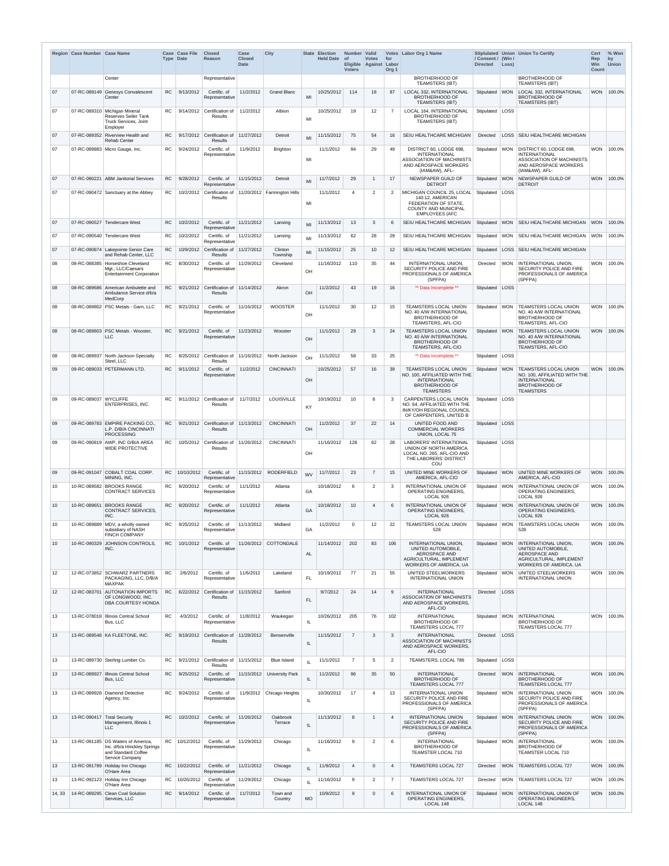|                 | Region Case Number Case Name |                                                                                                               | <b>Type Date</b> | Case Case File | <b>Closed</b><br>Reason                        | Case<br><b>Closed</b><br><b>Date</b> | <b>City</b>                 |           | <b>State Election</b><br>Held Date of | Number Valid<br>Eligible Against Labor<br><b>Voters</b> | <b>Votes</b>    | for<br>Org <sub>1</sub> | Votes Labor Org 1 Name                                                                                                            | / Consent / (Win /<br><b>Directed</b> | Loss)      | Stiplulated Union Union To Certify                                                                                             | <b>Cert</b><br>Rep<br><b>Win</b><br>Count | % Won<br>by<br><b>Union</b> |
|-----------------|------------------------------|---------------------------------------------------------------------------------------------------------------|------------------|----------------|------------------------------------------------|--------------------------------------|-----------------------------|-----------|---------------------------------------|---------------------------------------------------------|-----------------|-------------------------|-----------------------------------------------------------------------------------------------------------------------------------|---------------------------------------|------------|--------------------------------------------------------------------------------------------------------------------------------|-------------------------------------------|-----------------------------|
|                 |                              | Center                                                                                                        |                  |                | Representative                                 |                                      |                             |           |                                       |                                                         |                 |                         | <b>BROTHERHOOD OF</b><br><b>TEAMSTERS (IBT)</b>                                                                                   |                                       |            | <b>BROTHERHOOD OF</b><br><b>TEAMSTERS (IBT)</b>                                                                                |                                           |                             |
| 07              |                              | 07-RC-089149 Genesys Convalescent<br>Center                                                                   | RC               | 9/13/2012      | Certific. of<br>Representative                 | 11/2/2012                            | <b>Grand Blanc</b>          | MI        | 10/25/2012                            | 114                                                     | 18              | 87                      | LOCAL 332, INTERNATIONAL<br><b>BROTHERHOOD OF</b><br><b>TEAMSTERS (IBT)</b>                                                       | Stipulated WON                        |            | LOCAL 332, INTERNATIONAL<br><b>BROTHERHOOD OF</b><br><b>TEAMSTERS (IBT)</b>                                                    | <b>WON</b>                                | 100.0%                      |
| 07              |                              | 07-RC-089310 Michigan Mineral<br><b>Reserves Seiler Tank</b><br>Truck Services, Joint<br>Employer             | RC               | 9/14/2012      | Certification of<br><b>Results</b>             | 11/2/2012                            | Albion                      | MI        | 10/25/2012                            | 19                                                      | 12              | $\overline{7}$          | LOCAL 164, INTERNATIONAL<br><b>BROTHERHOOD OF</b><br><b>TEAMSTERS (IBT)</b>                                                       | Stipulated LOSS                       |            |                                                                                                                                |                                           |                             |
| 07              | 07-RC-089352                 | <b>Riverview Health and</b><br><b>Rehab Center</b>                                                            | RC               |                | $9/17/2012$ Certification of<br><b>Results</b> | 11/27/2012                           | Detroit                     | MI        | 11/15/2012                            | 75                                                      | 54              | 16                      | SEIU HEALTHCARE MICHIGAN                                                                                                          | <b>Directed</b>                       |            | LOSS   SEIU HEALTHCARE MICHIGAN                                                                                                |                                           |                             |
| 07              |                              | 07-RC-089883 Micro Gauge, Inc.                                                                                | RC.              | 9/24/2012      | Certific. of<br>Representative                 | 11/9/2012                            | <b>Brighton</b>             | MI        | 11/1/2012                             | 94                                                      | 29              | 49                      | DISTRICT 60, LODGE 698,<br><b>INTERNATIONAL</b><br><b>ASSOCIATION OF MACHINISTS</b><br>AND AEROSPACE WORKERS<br>(IAM&AW), AFL-    | Stipulated                            | $ $ WON    | DISTRICT 60, LODGE 698,<br><b>INTERNATIONAL</b><br><b>ASSOCIATION OF MACHINISTS</b><br>AND AEROSPACE WORKERS<br>(IAM&AW), AFL- | <b>WON</b>                                | 100.0%                      |
| 07              |                              | 07-RC-090221 ABM Janitorial Services                                                                          | <b>RC</b>        | 9/28/2012      | Certific. of<br>Representative                 | 11/15/2012                           | Detroit                     | MI        | 11/7/2012                             | 29                                                      |                 | 17                      | NEWSPAPER GUILD OF<br><b>DETROIT</b>                                                                                              | Stipulated                            | <b>WON</b> | NEWSPAPER GUILD OF<br><b>DETROIT</b>                                                                                           | <b>WON</b>                                | 100.0%                      |
| 07              |                              | 07-RC-090472 Sanctuary at the Abbey                                                                           | RC.              |                | 10/2/2012 Certification of<br><b>Results</b>   |                                      | 11/20/2012 Farmington Hills | MI        | 11/1/2012                             | $\overline{4}$                                          | $\overline{2}$  | 2                       | MICHIGAN COUNCIL 25, LOCAL<br>140.12, AMERICAN<br>FEDERATION OF STATE,<br><b>COUNTY AND MUNICIPAL</b><br><b>EMPLOYEES (AFC</b>    | Stipulated                            | LOSS       |                                                                                                                                |                                           |                             |
| 07              |                              | 07-RC-090527 Tendercare West                                                                                  | RC               | 10/2/2012      | Certific. of<br>Representative                 | 11/21/2012                           | Lansing                     | MI        | 11/13/2012                            | 13                                                      | 3               | 6                       | SEIU HEALTHCARE MICHIGAN                                                                                                          | Stipulated                            |            | WON SEIU HEALTHCARE MICHIGAN WON                                                                                               |                                           | 100.0%                      |
| 07              |                              | 07-RC-090540 Tendercare West                                                                                  | RC.              | 10/2/2012      | Certific. of<br>Representative                 | 11/21/2012                           | Lansing                     | MI        | 11/13/2012                            | 62                                                      | 28              | 29                      | SEIU HEALTHCARE MICHIGAN                                                                                                          | Stipulated                            |            | WON SEIU HEALTHCARE MICHIGAN WON                                                                                               |                                           | 100.0%                      |
| 07              |                              | 07-RC-090874 Lakepointe Senior Care<br>and Rehab Center, LLC                                                  | <b>RC</b>        |                | 10/9/2012 Certification of<br><b>Results</b>   | 11/27/2012                           | Clinton<br>Township         | MI        | 11/15/2012                            | 25                                                      | 10 <sup>°</sup> | 12 <sup>2</sup>         | SEIU HEALTHCARE MICHIGAN                                                                                                          | Stipulated                            |            | <b>LOSS SEIU HEALTHCARE MICHIGAN</b>                                                                                           |                                           |                             |
| 08              |                              | 08-RC-088385   Horseshoe Cleveland<br>Mgt., LLC/Caesars<br><b>Entertainment Corporation</b>                   | RC.              | 8/30/2012      | Certific. of<br>Representative                 | 11/29/2012                           | Cleveland                   | OH        | 11/16/2012                            | 110                                                     | 35              | 44                      | INTERNATIONAL UNION,<br>SECURITY POLICE AND FIRE<br>PROFESSIONALS OF AMERICA<br>(SPFPA)                                           | Directed                              |            | WON INTERNATIONAL UNION.<br>SECURITY POLICE AND FIRE<br><b>PROFESSIONALS OF AMERICA</b><br>(SPFPA)                             |                                           | WON 100.0%                  |
| 08              |                              | 08-RC-089686 American Ambulette and<br>Ambulance Service d/b/a<br>MedCorp                                     | <b>RC</b>        |                | $9/21/2012$ Certification of<br><b>Results</b> | 11/14/2012                           | Akron                       | OH        | 11/2/2012                             | 43                                                      | 19              | 16                      | ** Data Incomplete **                                                                                                             | Stipulated                            | LOSS       |                                                                                                                                |                                           |                             |
| 08              |                              | 08-RC-089802 PSC Metals - Garn, LLC                                                                           | <b>RC</b>        | 9/21/2012      | Certific. of<br>Representative                 | 11/16/2012                           | <b>WOOSTER</b>              | OH        | 11/1/2012                             | 30                                                      | 12              | 15                      | TEAMSTERS LOCAL UNION<br>NO. 40 A/W INTERNATIONAL<br><b>BROTHERHOOD OF</b><br>TEAMSTERS, AFL-CIO                                  | Stipulated   WON                      |            | <b>TEAMSTERS LOCAL UNION</b><br>NO. 40 A/W INTERNATIONAL<br><b>BROTHERHOOD OF</b><br>TEAMSTERS, AFL-CIO                        |                                           | WON 100.0%                  |
| 08              |                              | 08-RC-089803 PSC Metals - Wooster,<br><b>LLC</b>                                                              | <b>RC</b>        | 9/21/2012      | Certific. of<br>Representative                 | 11/23/2012                           | Wooster                     | OH        | 11/1/2012                             | 29                                                      | 3               | 24                      | TEAMSTERS LOCAL UNION<br>NO. 40 A/W INTERNATIONAL<br><b>BROTHERHOOD OF</b><br><b>TEAMSTERS, AFL-CIO</b>                           | Stipulated WON                        |            | <b>TEAMSTERS LOCAL UNION</b><br>NO. 40 A/W INTERNATIONAL<br><b>BROTHERHOOD OF</b><br><b>TEAMSTERS, AFL-CIO</b>                 |                                           | WON 100.0%                  |
| 08              |                              | 08-RC-089937 North Jackson Specialty<br>Steel, LLC                                                            | RC.              | 9/25/2012      | Certification of<br><b>Results</b>             | 11/16/2012                           | North Jackson               | OH        | 11/1/2012                             | 58                                                      | 33              | 25                      | ** Data Incomplete **                                                                                                             | Stipulated   LOSS                     |            |                                                                                                                                |                                           |                             |
| 09              |                              | 09-RC-089033 PETERMANN LTD.                                                                                   | RC               | 9/11/2012      | Certific. of<br>Representative                 | 11/2/2012                            | <b>CINCINNATI</b>           | OH        | 10/25/2012                            | 57                                                      | 16              | 39                      | TEAMSTERS LOCAL UNION<br>NO. 100, AFFILIATED WITH THE<br><b>INTERNATIONAL</b><br><b>BROTHERHOOD OF</b>                            | Stipulated                            | <b>WON</b> | <b>TEAMSTERS LOCAL UNION</b><br>NO. 100, AFFILIATED WITH THE<br><b>INTERNATIONAL</b><br><b>BROTHERHOOD OF</b>                  | <b>WON</b>                                | 100.0%                      |
| 09              | 09-RC-089037 WYCLIFFE        | <b>ENTERPRISES, INC.</b>                                                                                      | RC               |                | 9/11/2012 Certification of<br><b>Results</b>   | 11/7/2012                            | <b>LOUISVILLE</b>           | <b>KY</b> | 10/19/2012                            | 10 <sup>°</sup>                                         | 6               | 3                       | <b>TEAMSTERS</b><br>CARPENTERS LOCAL UNION<br>NO. 64, AFFILIATED WITH THE<br>IN/KY/OH REGIONAL COUNCIL<br>OF CARPENTERS, UNITED B | Stipulated   LOSS                     |            | <b>TEAMSTERS</b>                                                                                                               |                                           |                             |
| 09              |                              | 09-RC-089783 EMPIRE PACKING CO.<br>L.P. D/B/A CINCINNATI<br><b>PROCESSING</b>                                 | RC               |                | $9/21/2012$ Certification of<br><b>Results</b> | 11/13/2012                           | <b>CINCINNATI</b>           | OH        | 11/2/2012                             | 37                                                      | 22              | 14                      | UNITED FOOD AND<br><b>COMMERCIAL WORKERS</b><br>UNION, LOCAL 75                                                                   | Stipulated LOSS                       |            |                                                                                                                                |                                           |                             |
| 09              |                              | 09-RC-090819 AWP, INC D/B/A AREA<br><b>WIDE PROTECTIVE</b>                                                    | RC               | 10/5/2012      | Certification of 11/26/2012<br><b>Results</b>  |                                      | <b>CINCINNATI</b>           | OH        | 11/16/2012                            | 128                                                     | 62              | 28                      | <b>LABORERS' INTERNATIONAL</b><br>UNION OF NORTH AMERICA<br>LOCAL NO. 265, AFL-CIO AND<br>THE LABORERS' DISTRICT                  | Stipulated   LOSS                     |            |                                                                                                                                |                                           |                             |
| 09              |                              | 09-RC-091047 COBALT COAL CORP.                                                                                | <b>RC</b>        | 10/10/2012     | Certific. of                                   | 11/15/2012                           | <b>RODERFIELD</b>           | <b>WV</b> | 11/7/2012                             | 23                                                      |                 | 15                      | COU<br>UNITED MINE WORKERS OF                                                                                                     | Stipulated                            | <b>WON</b> | UNITED MINE WORKERS OF                                                                                                         | <b>WON</b>                                | 100.0%                      |
| 10              | 10-RC-089582                 | MINING, INC.<br><b>BROOKS RANGE</b>                                                                           | RC.              | 9/20/2012      | Representative<br>Certific. of                 | 11/1/2012                            | Atlanta                     |           | 10/18/2012                            | 6                                                       | 2               | 3                       | AMERICA, AFL-CIO<br><b>INTERNATIONAL UNION OF</b>                                                                                 | Stipulated   WON                      |            | AMERICA, AFL-CIO<br>INTERNATIONAL UNION OF                                                                                     | <b>WON</b>                                | 100.0%                      |
| 10 <sup>°</sup> | 10-RC-089651                 | <b>CONTRACT SERVICES</b><br><b>BROOKS RANGE</b>                                                               | RC               | 9/20/2012      | Representative<br>Certific. of                 | 11/1/2012                            | Atlanta                     | GA        | 10/18/2012                            | 10                                                      | 4               | 6                       | <b>OPERATING ENGINEERS,</b><br>LOCAL 926<br><b>INTERNATIONAL UNION OF</b>                                                         | Stipulated WON                        |            | <b>OPERATING ENGINEERS,</b><br>LOCAL 926<br><b>INTERNATIONAL UNION OF</b>                                                      | <b>WON</b>                                | 100.0%                      |
| 10              |                              | CONTRACT SERVICES,<br>INC.<br>10-RC-089889 MDV, a wholly owned                                                | <b>RC</b>        | 9/25/2012      | Representative<br>Certific. of                 | 11/13/2012                           | Midland                     | GA        | 11/2/2012                             | $\mathbf{0}$                                            | 12              | 22                      | <b>OPERATING ENGINEERS,</b><br>LOCAL 926<br>TEAMSTERS LOCAL UNION                                                                 | Stipulated   WON                      |            | <b>OPERATING ENGINEERS,</b><br>LOCAL 926<br><b>TEAMSTERS LOCAL UNION</b>                                                       | <b>WON</b>                                | 100.0%                      |
|                 |                              | subsidiary of NASH<br><b>FINCH COMPANY</b>                                                                    |                  |                | Representative                                 |                                      |                             | GA        |                                       |                                                         |                 |                         | 528                                                                                                                               |                                       |            | 528                                                                                                                            |                                           |                             |
| 10 <sup>°</sup> | 10-RC-090329                 | JOHNSON CONTROLS,<br>INC.                                                                                     | RC               | 10/1/2012      | Certific, of<br>Representative                 |                                      | 11/26/2012 COTTONDALE       | AL        | 11/14/2012                            | 202                                                     | 83              | 106                     | INTERNATIONAL UNION.<br>UNITED AUTOMOBILE,<br><b>AEROSPACE AND</b><br>AGRICULTURAL, IMPLEMENT<br>WORKERS OF AMERICA, UA           | Stipulated WON                        |            | <b>INTERNATIONAL UNION,</b><br>UNITED AUTOMOBILE,<br><b>AEROSPACE AND</b><br>AGRICULTURAL, IMPLEMENT<br>WORKERS OF AMERICA, UA | <b>WON</b>                                | 100.0%                      |
| 12              |                              | 12-RC-073852 SCHWARZ PARTNERS<br>PACKAGING, LLC, D/B/A<br><b>MAXPAK</b>                                       | <b>RC</b>        | 2/6/2012       | Certific. of<br>Representative                 | 11/6/2012                            | Lakeland                    | <b>FL</b> | 10/19/2012                            | 77                                                      | 21              | 55                      | UNITED STEELWORKERS<br><b>INTERNATIONAL UNION</b>                                                                                 | Stipulated WON                        |            | <b>UNITED STEELWORKERS</b><br>INTERNATIONAL UNION                                                                              |                                           | WON 100.0%                  |
| 12              |                              | 12-RC-083701 AUTONATION IMPORTS<br>OF LONGWOOD, INC.<br><b>DBA COURTESY HONDA</b>                             | <b>RC</b>        | 6/22/2012      | Certification of<br><b>Results</b>             | 11/15/2012                           | Sanford                     | <b>FL</b> | 9/7/2012                              | 24                                                      | 14              | 9                       | <b>INTERNATIONAL</b><br><b>ASSOCIATION OF MACHINISTS</b><br>AND AEROSPACE WORKERS,<br>AFL-CIO                                     | Directed                              | LOSS       |                                                                                                                                |                                           |                             |
| 13              |                              | 13-RC-078018   Illinois Central School<br>Bus, LLC                                                            | <b>RC</b>        | 4/3/2012       | Certific. of<br>Representative                 | 11/8/2012                            | Waukegan                    | IL.       | 10/26/2012                            | 205                                                     | 76              | 102                     | <b>INTERNATIONAL</b><br><b>BROTHERHOOD OF</b><br><b>TEAMSTERS LOCAL 777</b>                                                       | Stipulated   WON                      |            | INTERNATIONAL<br><b>BROTHERHOOD OF</b><br><b>TEAMSTERS LOCAL 777</b>                                                           |                                           | WON 100.0%                  |
| 13              |                              | 13-RC-089548 KA FLEETONE, INC.                                                                                | <b>RC</b>        | 9/19/2012      | Certification of<br><b>Results</b>             | 11/28/2012                           | Bensenville                 | IL        | 11/15/2012                            | $\overline{7}$                                          | 3               | $\mathbf{3}$            | <b>INTERNATIONAL</b><br><b>ASSOCIATION OF MACHINISTS</b><br>AND AEROSPACE WORKERS,<br>AFL-CIO                                     | Directed                              | LOSS       |                                                                                                                                |                                           |                             |
| 13              |                              | 13-RC-089730 Sterling Lumber Co.                                                                              | RC.              |                | 9/21/2012 Certification of<br><b>Results</b>   | 11/15/2012                           | <b>Blue Island</b>          | IL        | 11/1/2012                             | $\overline{7}$                                          | 5               | $\overline{2}$          | TEAMSTERS, LOCAL 786                                                                                                              | Stipulated LOSS                       |            |                                                                                                                                |                                           |                             |
| 13              |                              | 13-RC-089927 Illinois Central School<br>Bus, LLC                                                              | <b>RC</b>        | 9/25/2012      | Certific. of<br>Representative                 | 11/15/2012                           | <b>University Park</b>      | IL        | 11/2/2012                             | 96                                                      | 35              | 50                      | <b>INTERNATIONAL</b><br><b>BROTHERHOOD OF</b><br><b>TEAMSTERS LOCAL 777</b>                                                       | Directed                              | <b>WON</b> | INTERNATIONAL<br><b>BROTHERHOOD OF</b><br><b>TEAMSTERS LOCAL 777</b>                                                           | <b>WON</b>                                | 100.0%                      |
| 13              |                              | 13-RC-089928 Diamond Detective<br>Agency, Inc.                                                                | RC.              | 9/24/2012      | Certific. of<br>Representative                 |                                      | 11/9/2012 Chicago Heights   | IL.       | 10/30/2012                            | 17                                                      | 4               | 13                      | <b>INTERNATIONAL UNION</b><br>SECURITY POLICE AND FIRE<br>PROFESSIONALS OF AMERICA<br>(SPFPA)                                     | Stipulated   WON                      |            | <b>INTERNATIONAL UNION</b><br>SECURITY POLICE AND FIRE<br>PROFESSIONALS OF AMERICA<br>(SPFPA)                                  |                                           | WON 100.0%                  |
| 13              | 13-RC-090417 Total Security  | Management, Illinois 1<br><b>LLC</b>                                                                          | <b>RC</b>        | 10/2/2012      | Certific. of<br>Representative                 | 11/26/2012                           | Oakbrook<br>Terrace         | IL        | 11/13/2012                            | 8                                                       |                 | $\overline{4}$          | <b>INTERNATIONAL UNION</b><br>SECURITY POLICE AND FIRE<br>PROFESSIONALS OF AMERICA<br>(SPFPA)                                     | Stipulated WON                        |            | <b>INTERNATIONAL UNION</b><br>SECURITY POLICE AND FIRE<br>PROFESSIONALS OF AMERICA<br>(SPFPA)                                  | <b>WON</b>                                | 100.0%                      |
| 13              |                              | 13-RC-091185   DS Waters of America.<br>Inc. d/b/a Hinckley Springs<br>and Standard Coffee<br>Service Company | <b>RC</b>        | 10/12/2012     | Certific. of<br>Representative                 | 11/29/2012                           | Chicago                     | IL.       | 11/16/2012                            | 9                                                       | $\overline{2}$  | 6                       | <b>INTERNATIONAL</b><br><b>BROTHERHOOD OF</b><br>TEAMSTER LOCAL 710                                                               | Stipulated   WON                      |            | INTERNATIONAL<br><b>BROTHERHOOD OF</b><br>TEAMSTER LOCAL 710                                                                   |                                           | WON 100.0%                  |
| 13              |                              | 13-RC-091789 Holiday Inn Chicago<br>O'Hare Area                                                               | RC               | 10/22/2012     | Certific. of<br>Representative                 | 11/21/2012                           | Chicago                     | IL        | 11/9/2012                             | $\overline{4}$                                          | 0               | $\overline{4}$          | <b>TEAMSTERS LOCAL 727</b>                                                                                                        | Directed                              | <b>WON</b> | <b>TEAMSTERS LOCAL 727</b>                                                                                                     | <b>WON</b>                                | 100.0%                      |
| 13              |                              | 13-RC-092123 Holiday Inn Chicago<br>O'Hare Area                                                               | RC.              | 10/26/2012     | Certific. of<br>Representative                 | 11/29/2012                           | Chicago                     | IL        | 11/16/2012                            | 9                                                       | 2               | $\overline{7}$          | <b>TEAMSTERS LOCAL 727</b>                                                                                                        | Directed                              | <b>WON</b> | <b>TEAMSTERS LOCAL 727</b>                                                                                                     |                                           | WON 100.0%                  |
| 14, 33          |                              | 14-RC-089295 Clean Coal Solution<br>Services, LLC                                                             | RC               | 9/14/2012      | Certific. of<br>Representative                 | 11/7/2012                            | Town and<br>Country         | MO        | 10/9/2012                             | 9                                                       | $\Omega$        | 6                       | INTERNATIONAL UNION OF<br><b>OPERATING ENGINEERS,</b><br>LOCAL 148                                                                | Stipulated                            |            | WON INTERNATIONAL UNION OF<br><b>OPERATING ENGINEERS,</b><br>LOCAL 148                                                         |                                           | WON 100.0%                  |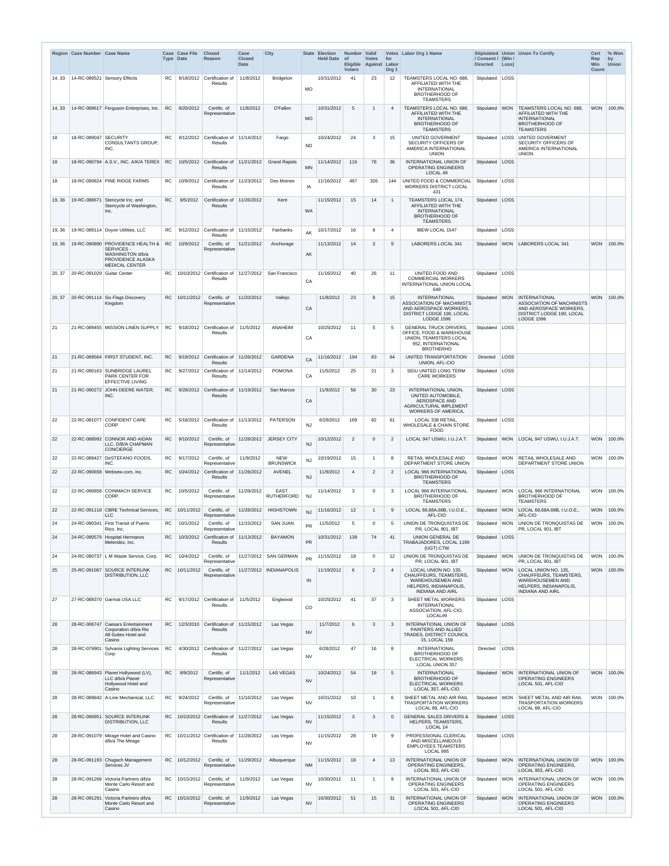|        | Region Case Number Case Name |                                                                                                                  |           | <b>Case Case File</b><br><b>Type Date</b> | <b>Closed</b><br>Reason                                  | Case<br><b>Closed</b><br>Date | <b>City</b>                      |           | State Election<br>Held Date of | Number Valid<br>Eligible Against Labor<br><b>Voters</b> | <b>Votes</b>   | for<br>Org <sub>1</sub> | Votes Labor Org 1 Name                                                                                                         | / Consent / (Win /<br><b>Directed</b> | Loss)      | Stiplulated   Union   Union To Certify                                                                                                    | Cert<br>Rep<br>Win<br><b>Count</b> | % Won<br>by<br><b>Union</b> |
|--------|------------------------------|------------------------------------------------------------------------------------------------------------------|-----------|-------------------------------------------|----------------------------------------------------------|-------------------------------|----------------------------------|-----------|--------------------------------|---------------------------------------------------------|----------------|-------------------------|--------------------------------------------------------------------------------------------------------------------------------|---------------------------------------|------------|-------------------------------------------------------------------------------------------------------------------------------------------|------------------------------------|-----------------------------|
| 14, 33 |                              | 14-RC-089521 Sensory Effects                                                                                     | RC.       |                                           | 9/19/2012 Certification of<br>Results                    | 11/8/2012                     | <b>Bridgeton</b>                 | МO        | 10/31/2012                     | 41                                                      | 23             | $12 \overline{ }$       | TEAMSTERS LOCAL NO. 688<br>AFFILIATED WITH THE<br><b>INTERNATIONAL</b><br><b>BROTHERHOOD OF</b><br><b>TEAMSTERS</b>            | Stipulated   LOSS                     |            |                                                                                                                                           |                                    |                             |
| 14, 33 |                              | 14-RC-089617 Ferguson Enterprises, Inc.                                                                          | <b>RC</b> | 9/20/2012                                 | Certific. of<br>Representative                           | 11/8/2012                     | O'Fallon                         | <b>MO</b> | 10/31/2012                     | 5                                                       |                | 4                       | TEAMSTERS LOCAL NO. 688<br>AFFILIATED WITH THE<br><b>INTERNATIONAL</b><br><b>BROTHERHOOD OF</b><br><b>TEAMSTERS</b>            | Stipulated                            |            | WON TEAMSTERS LOCAL NO. 688,<br>AFFILIATED WITH THE<br>INTERNATIONAL<br><b>BROTHERHOOD OF</b><br><b>TEAMSTERS</b>                         |                                    | WON 100.0%                  |
| 18     | 18-RC-089047 SECURITY        | <b>CONSULTANTS GROUP.</b><br>INC.                                                                                | RC.       |                                           | 9/12/2012 Certification of 11/14/2012<br>Results         |                               | Fargo                            | ND        | 10/24/2012                     | 24                                                      | 3              | 15                      | UNITED GOVERMENT<br>SECURITY OFFICERS OF<br>AMERICA INTERNATIONAL<br><b>UNION</b>                                              | Stipulated   LOSS                     |            | UNITED GOVERMENT<br><b>SECURITY OFFICERS OF</b><br>AMERICA INTERNATIONAL<br><b>UNION</b>                                                  |                                    |                             |
| 18     |                              | 18-RC-090794 A.S.V., INC. A/K/A TEREX RC                                                                         |           |                                           | 10/5/2012 Certification of 11/21/2012<br><b>Results</b>  |                               | <b>Grand Rapids</b>              | <b>MN</b> | 11/14/2012                     | 116                                                     | 78             | 36                      | INTERNATIONAL UNION OF<br><b>OPERATING ENGINEERS</b><br>LOCAL 49                                                               | Stipulated   LOSS                     |            |                                                                                                                                           |                                    |                             |
| 18     |                              | 18-RC-090824 PINE RIDGE FARMS                                                                                    | RC.       |                                           | 10/9/2012 Certification of 11/23/2012<br>Results         |                               | Des Moines                       | IA        | 11/16/2012                     | 487                                                     | 326            | 144                     | UNITED FOOD & COMMERCIAL<br><b>WORKERS DISTRICT LOCAL</b><br>431                                                               | Stipulated   LOSS                     |            |                                                                                                                                           |                                    |                             |
| 19, 36 | 19-RC-088671                 | Stericycle Inc. and<br>Stericycle of Washington,<br>Inc.                                                         | <b>RC</b> | 9/5/2012                                  | Certification of 11/26/2012<br>Results                   |                               | Kent                             | WA        | 11/15/2012                     | 15                                                      | 14             | -1                      | TEAMSTERS LOCAL 174,<br>AFFILIATED WITH THE<br><b>INTERNATIONAL</b><br><b>BROTHERHOOD OF</b><br><b>TEAMSTERS</b>               | Stipulated LOSS                       |            |                                                                                                                                           |                                    |                             |
| 19, 36 |                              | 19-RC-089114 Doyon Utilities, LLC                                                                                | RC.       |                                           | $9/12/2012$ Certification of 11/15/2012<br>Results       |                               | Fairbanks                        | AK        | 10/17/2012                     | 16                                                      | 8              | 4                       | <b>IBEW LOCAL 1547</b>                                                                                                         | Stipulated   LOSS                     |            |                                                                                                                                           |                                    |                             |
| 19, 36 |                              | 19-RC-090890 PROVIDENCE HEALTH &<br>SERVICES -<br>WASHINGTON d/b/a<br>PROVIDENCE ALASKA<br><b>MEDICAL CENTER</b> | <b>RC</b> | 10/9/2012                                 | Certific. of<br>Representative                           | 11/21/2012                    | Anchorage                        | AK        | 11/13/2012                     | 14                                                      | 3              | 9                       | <b>LABORERS LOCAL 341</b>                                                                                                      | Stipulated                            |            | WON LABORERS LOCAL 341                                                                                                                    | <b>WON</b>                         | 100.0%                      |
| 20, 37 | 20-RC-091029 Guitar Center   |                                                                                                                  | RC.       |                                           | 10/10/2012 Certification of 11/27/2012<br>Results        |                               | San Francisco                    | CA        | 11/16/2012                     | 40                                                      | 26             | 11                      | UNITED FOOD AND<br><b>COMMERCIAL WORKERS</b><br>INTERNATIONAL UNION LOCAL<br>648                                               | Stipulated   LOSS                     |            |                                                                                                                                           |                                    |                             |
| 20, 37 |                              | 20-RC-091114 Six Flags Discovery<br>Kingdom                                                                      | RC.       | 10/11/2012                                | Certific. of<br>Representative                           | 11/20/2012                    | Vallejo                          | CA        | 11/8/2012                      | 23                                                      | 8              | 15                      | <b>INTERNATIONAL</b><br>ASSOCIATION OF MACHINISTS<br>AND AEROSPACE WORKERS,<br>DISTRICT LODGE 190, LOCAL<br><b>LODGE 1596</b>  |                                       |            | Stipulated   WON   INTERNATIONAL<br>ASSOCIATION OF MACHINISTS<br>AND AEROSPACE WORKERS,<br>DISTRICT LODGE 190, LOCAL<br><b>LODGE 1596</b> | <b>WON</b>                         | 100.0%                      |
| 21     |                              | 21-RC-089455 MISSION LINEN SUPPLY                                                                                | <b>RC</b> |                                           | 9/18/2012 Certification of<br>Results                    | 11/5/2012                     | ANAHEIM                          | CA        | 10/25/2012                     | 11                                                      | $5^{\circ}$    | 5                       | <b>GENERAL TRUCK DRIVERS,</b><br>OFFICE, FOOD & WAREHOUSE<br>UNION, TEAMSTERS LOCAL<br>952, INTERNATIONAL<br><b>BROTHERHO</b>  | Stipulated   LOSS                     |            |                                                                                                                                           |                                    |                             |
| 21     |                              | 21-RC-089564 FIRST STUDENT. INC.                                                                                 | RC.       |                                           | 9/19/2012 Certification of 11/26/2012<br>Results         |                               | <b>GARDENA</b>                   | CA        | 11/16/2012                     | 194                                                     | 83             | 64                      | UNITED TRANSPORTATION<br>UNION, AFL-CIO                                                                                        | Directed                              | LOSS       |                                                                                                                                           |                                    |                             |
| 21     |                              | 21-RC-090163 SUNBRIDGE LAUREL<br><b>PARK CENTER FOR</b><br><b>EFFECTIVE LIVING</b>                               | RC.       |                                           | $9/27/2012$ Certification of 11/14/2012<br>Results       |                               | <b>POMONA</b>                    | CA        | 11/5/2012                      | 25                                                      | 21             | $\mathbf{3}$            | SEIU UNITED LONG TERM<br><b>CARE WORKERS</b>                                                                                   | Stipulated   LOSS                     |            |                                                                                                                                           |                                    |                             |
| 21     |                              | 21-RC-090272 JOHN DEERE WATER,<br>INC.                                                                           | RC        |                                           | 9/28/2012 Certification of 11/19/2012<br><b>Results</b>  |                               | San Marcos                       | CA        | 11/9/2012                      | 56                                                      | 30             | 23                      | INTERNATIONAL UNION,<br>UNITED AUTOMOBILE,<br><b>AEROSPACE AND</b><br>AGRICULTURAL IMPLEMENT<br><b>WORKERS OF AMERICA.</b>     | Stipulated LOSS                       |            |                                                                                                                                           |                                    |                             |
| 22     |                              | 22-RC-081077 CONFIDENT CARE<br><b>CORP</b>                                                                       | RC.       |                                           | 5/16/2012   Certification of   11/13/2012<br>Results     |                               | <b>PATERSON</b>                  | <b>NJ</b> | 6/29/2012                      | 169                                                     | 82             | 61                      | LOCAL 338 RETAIL,<br><b>WHOLESALE &amp; CHAIN STORE</b><br><b>FOOD</b>                                                         | Stipulated   LOSS                     |            |                                                                                                                                           |                                    |                             |
| 22     |                              | 22-RC-088992 CONNOR AND AIDAN<br>LLC, D/B/A CHAPMAN<br>CONCIERGE                                                 | RC        | 9/10/2012                                 | Certific. of<br>Representative                           | 11/28/2012                    | <b>JERSEY CITY</b>               | <b>NJ</b> | 10/12/2012                     | 2                                                       | $\Omega$       | 2                       | LOCAL 947 USWU, I.U.J.A.T.                                                                                                     |                                       |            | Stipulated   WON   LOCAL 947 USWU, I.U.J.A.T.                                                                                             |                                    | WON 100.0%                  |
| 22     |                              | 22-RC-089427 DeSTEFANO FOODS,<br>INC.                                                                            | RC.       | 9/17/2012                                 | Certific. of<br>Representative                           | 11/9/2012                     | <b>NEW</b><br><b>BRUNSWICK</b>   | <b>NJ</b> | 10/19/2012                     | 15                                                      |                | 8                       | RETAIL WHOLESALE AND<br>DEPARTMENT STORE UNION                                                                                 |                                       |            | Stipulated   WON   RETAIL WHOLESALE AND<br><b>DEPARTMENT STORE UNION</b>                                                                  |                                    | WON 100.0%                  |
| 22     |                              | 22-RC-090658 Websew.com, Inc.                                                                                    | RC.       |                                           | 10/4/2012 Certification of 11/28/2012<br>Results         |                               | AVENEL                           | <b>NJ</b> | 11/9/2012                      | $\overline{4}$                                          | 2              | $\overline{2}$          | <b>LOCAL 966 INTERNATIONAL</b><br><b>BROTHERHOOD OF</b><br><b>TEAMSTERS</b>                                                    | Stipulated   LOSS                     |            |                                                                                                                                           |                                    |                             |
| 22     |                              | 22-RC-090858 COINMACH SERVICE<br>CORP.                                                                           | RC.       | 10/5/2012                                 | Certific. of<br>Representative                           | 11/28/2012                    | <b>EAST</b><br><b>RUTHERFORD</b> | NJ        | 11/14/2012                     | 3                                                       | $\Omega$       | 3                       | <b>LOCAL 966 INTERNATIONAL</b><br><b>BROTHERHOOD OF</b><br><b>TEAMSTERS</b>                                                    |                                       |            | Stipulated   WON   LOCAL 966 INTERNATIONAL<br><b>BROTHERHOOD OF</b><br><b>TEAMSTERS</b>                                                   |                                    | WON 100.0%                  |
| 22     |                              | 22-RC-091118 CBRE Technical Services,<br><b>LLC</b>                                                              | RC        | 10/11/2012                                | Certific. of<br>Representative                           | 11/28/2012                    | <b>HIGHSTOWN</b>                 | <b>NJ</b> | 11/16/2012                     | $12 \overline{ }$                                       |                | 9                       | LOCAL 68,68A,68B, I.U.O.E.,<br>AFL-CIO                                                                                         |                                       |            | Stipulated   WON   LOCAL 68,68A,68B, I.U.O.E.<br>AFL-CIO                                                                                  |                                    | WON 100.0%                  |
| 24     |                              | 24-RC-090341   First Transit of Puerto<br>Rico, Inc.                                                             | RC.       | 10/1/2012                                 | Certific. of<br>Representative                           | 11/15/2012                    | <b>SAN JUAN</b>                  | <b>PR</b> | 11/5/2012                      | 5                                                       | $\mathbf{0}$   | 5                       | UNION DE TRONQUISTAS DE<br>PR, LOCAL 901, IBT                                                                                  | Stipulated WON                        |            | UNION DE TRONQUISTAS DE<br>PR, LOCAL 901, IBT                                                                                             |                                    | WON 100.0%                  |
| 24     |                              | 24-RC-090579 Hospital Hermanos<br>Melendez, Inc.                                                                 | RC.       |                                           | 10/3/2012 Certification of 11/13/2012<br>Results         |                               | <b>BAYAMON</b>                   | <b>PR</b> | 10/31/2012                     | 139                                                     | 74             | 41                      | UNION GENERAL DE<br>TRABAJADORES, LOCAL 1199<br>(UGT) CTW                                                                      | Stipulated LOSS                       |            |                                                                                                                                           |                                    |                             |
| 24     |                              | 24-RC-090737 L M Waste Service, Corp.                                                                            | <b>RC</b> | 10/4/2012                                 | Certific. of<br>Representative                           |                               | 11/27/2012 SAN GERMAN            | <b>PR</b> | 11/15/2012                     | 18                                                      | $\overline{0}$ | 12                      | UNION DE TRONQUISTAS DE<br>PR, LOCAL 901, IBT                                                                                  |                                       |            | Stipulated WON UNION DE TRONQUISTAS DE<br>PR, LOCAL 901, IBT                                                                              |                                    | WON 100.0%                  |
| 25     | 25-RC-091067                 | <b>SOURCE INTERLINK</b><br><b>DISTRIBUTION, LLC</b>                                                              | RC.       | 10/11/2012                                | Certific. of<br>Representative                           |                               | 11/27/2012 INDIANAPOLIS          | IN        | 11/19/2012                     | 6                                                       | $\overline{2}$ | $\overline{4}$          | LOCAL UNION NO. 135,<br>CHAUFFEURS, TEAMSTERS,<br><b>WAREHOUSEMEN AND</b><br>HELPERS, INDIANAPOLIS,<br><b>INDIANA AND AIRL</b> | Stipulated WON                        |            | LOCAL UNION NO. 135.<br>CHAUFFEURS, TEAMSTERS,<br><b>WAREHOUSEMEN AND</b><br><b>HELPERS. INDIANAPOLIS.</b><br><b>INDIANA AND AIRL</b>     | <b>WON</b>                         | 100.0%                      |
| 27     |                              | 27-RC-089370 Garmat USA LLC                                                                                      | RC.       |                                           | $9/17/2012$ Certification of<br>Results                  | 11/5/2012                     | Englwood                         | CO        | 10/25/2012                     | 41                                                      | 37             | $\mathbf{3}$            | SHEET METAL WORKERS<br><b>INTERNATIONAL</b><br>ASSOCIATION, AFL-CIO,<br>LOCAL#9                                                | Stipulated   LOSS                     |            |                                                                                                                                           |                                    |                             |
| 28     | 28-RC-006747                 | <b>Caesars Entertainment</b><br>Corporation d/b/a Rio<br>All-Suites Hotel and<br>Casino                          | RC.       | 12/3/2010                                 | Certification of 11/15/2012<br><b>Results</b>            |                               | Las Vegas                        | <b>NV</b> | 11/7/2012                      | 6                                                       | 3              | $\mathbf{3}$            | <b>INTERNATIONAL UNION OF</b><br>PAINTERS AND ALLIED<br>TRADES, DISTRICT COUNCIL<br>15, LOCAL 159                              | Stipulated LOSS                       |            |                                                                                                                                           |                                    |                             |
| 28     | 28-RC-079901                 | Sylvania Lighting Services<br>Corp.                                                                              | <b>RC</b> |                                           | 4/30/2012 Certification of 11/27/2012<br>Results         |                               | Las Vegas                        | <b>NV</b> | 6/28/2012                      | 47                                                      | 16             | 8                       | <b>INTERNATIONAL</b><br><b>BROTHERHOOD OF</b><br><b>ELECTRICAL WORKERS</b><br><b>LOCAL UNION 357</b>                           | Directed                              | LOSS       |                                                                                                                                           |                                    |                             |
| 28     | 28-RC-086943                 | Planet Hollywood (LV),<br>LLC d/b/a Planet<br>Hollywood Hotel and<br>Casino                                      | <b>RC</b> | 8/9/2012                                  | Certific. of<br>Representative                           | 11/1/2012                     | <b>LAS VEGAS</b>                 | <b>NV</b> | 10/24/2012                     | 54                                                      | 18             | $5\overline{)}$         | <b>INTERNATIONAL</b><br><b>BROTHERHOOD OF</b><br><b>ELECTRICAL WORKERS</b><br>LOCAL 357, AFL-CIO                               | Stipulated                            |            | WON INTERNATIONAL UNION OF<br><b>OPERATING ENGINEERS</b><br>LOCAL 501, AFL-CIO                                                            | <b>WON</b>                         | $100.0\%$                   |
| 28     | 28-RC-089842                 | A-Line Mechanical, LLC                                                                                           | <b>RC</b> | 9/24/2012                                 | Certific. of<br>Representative                           | 11/16/2012                    | Las Vegas                        | <b>NV</b> | 10/31/2012                     | 10                                                      |                | 6                       | SHEET METAL AND AIR RAIL<br><b>TRASPORTATION WORKERS</b><br>LOCAL 88, AFL-CIO                                                  | Stipulated                            | <b>WON</b> | SHEET METAL AND AIR RAIL<br><b>TRASPORTATION WORKERS</b><br>LOCAL 88, AFL-CIO                                                             | <b>WON</b>                         | 100.0%                      |
| 28     | 28-RC-090951                 | <b>SOURCE INTERLINK</b><br><b>DISTRIBUTION, LLC</b>                                                              | <b>RC</b> |                                           | 10/10/2012 Certification of 11/27/2012<br><b>Results</b> |                               | Las Vegas                        | <b>NV</b> | 11/15/2012                     | 3                                                       | 3              | $\mathbf{0}$            | <b>GENERAL SALES DRIVERS &amp;</b><br>HELPERS, TEAMSTERS,<br>LOCAL 14                                                          | Stipulated LOSS                       |            |                                                                                                                                           |                                    |                             |
| 28     |                              | 28-RC-091079 Mirage Hotel and Casino<br>d/b/a The Mirage                                                         | RC.       |                                           | 10/11/2012 Certification of 11/28/2012<br>Results        |                               | Las Vegas                        | <b>NV</b> | 11/15/2012                     | 28                                                      | 19             | 9                       | PROFESSIONAL CLERICAL<br>AND MISCELLANEOUS<br><b>EMPLOYEES TEAMSTERS</b><br>LOCAL 995                                          | Stipulated   LOSS                     |            |                                                                                                                                           |                                    |                             |
| 28     |                              | 28-RC-091193 Chugach Management<br>Services JV                                                                   | <b>RC</b> | 10/12/2012                                | Certific. of<br>Representative                           | 11/29/2012                    | Albuquerque                      | <b>NM</b> | 11/15/2012                     | 18                                                      |                | 13                      | <b>INTERNATIONAL UNION OF</b><br><b>OPERATING ENGINEERS,</b><br>LOCAL 953, AFL-CIO                                             | Stipulated                            | <b>WON</b> | INTERNATIONAL UNION OF<br><b>OPERATING ENGINEERS.</b><br>LOCAL 953, AFL-CIO                                                               | <b>WON</b>                         | 100.0%                      |
| 28     |                              | 28-RC-091268 Victoria Partners d/b/a<br>Monte Carlo Resort and<br>Casino                                         | <b>RC</b> | 10/15/2012                                | Certific. of<br>Representative                           | 11/9/2012                     | Las Vegas                        | <b>NV</b> | 10/30/2012                     | 11                                                      |                | 9                       | <b>INTERNATIONAL UNION OF</b><br><b>OPERATING ENGINEERS</b><br>LOCAL 501, AFL-CIO                                              | Stipulated WON                        |            | <b>INTERNATIONAL UNION OF</b><br><b>OPERATING ENGINEERS</b><br>LOCAL 501, AFL-CIO                                                         | <b>WON</b>                         | 100.0%                      |
| 28     | 28-RC-091291                 | Victoria Partners d/b/a<br>Monte Carlo Resort and<br>Casino                                                      |           | RC   10/15/2012                           | Certific. of<br>Representative                           | 11/9/2012                     | Las Vegas                        | <b>NV</b> | 10/30/2012                     | 51                                                      | 15             | 31                      | <b>INTERNATIONAL UNION OF</b><br><b>OPERATING ENGINEERS</b><br>LOCAL 501, AFL-CIO                                              | Stipulated WON                        |            | <b>INTERNATIONAL UNION OF</b><br><b>OPERATING ENGINEERS</b><br>LOCAL 501, AFL-CIO                                                         | <b>WON</b>                         | 100.0%                      |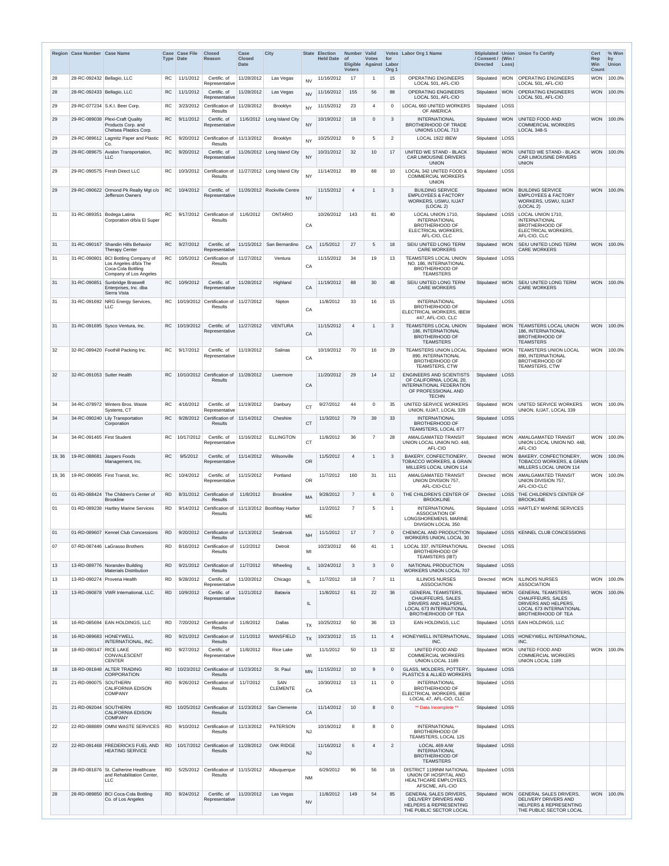|        | Region Case Number Case Name |                                                                                  | <b>Type Date</b> | Case Case File | <b>Closed</b><br>Reason                                          | Case<br><b>Closed</b><br><b>Date</b> | <b>City</b>                                            | <b>State</b> | <b>Election</b><br>Held Date of | Number Valid<br>Eligible Against Labor<br><b>Voters</b> | <b>Votes</b>    | for<br>Org <sub>1</sub> | Votes Labor Org 1 Name                                                                                                                       | / Consent / (Win /<br><b>Directed</b> | Loss)      | Stiplulated Union Union To Certify                                                                                                    | Cert<br>Rep<br>Win<br><b>Count</b> | % Won<br>by<br><b>Union</b> |
|--------|------------------------------|----------------------------------------------------------------------------------|------------------|----------------|------------------------------------------------------------------|--------------------------------------|--------------------------------------------------------|--------------|---------------------------------|---------------------------------------------------------|-----------------|-------------------------|----------------------------------------------------------------------------------------------------------------------------------------------|---------------------------------------|------------|---------------------------------------------------------------------------------------------------------------------------------------|------------------------------------|-----------------------------|
| 28     | 28-RC-092432 Bellagio, LLC   |                                                                                  | RC.              | 11/1/2012      | Certific. of<br>Representative                                   | 11/28/2012                           | Las Vegas                                              | <b>NV</b>    | 11/16/2012                      | 17                                                      |                 | 15                      | <b>OPERATING ENGINEERS</b><br>LOCAL 501, AFL-CIO                                                                                             | Stipulated                            | <b>WON</b> | <b>OPERATING ENGINEERS</b><br>LOCAL 501, AFL-CIO                                                                                      | <b>WON</b>                         | 100.0%                      |
| 28     | 28-RC-092433 Bellagio, LLC   |                                                                                  | <b>RC</b>        | 11/1/2012      | Certific. of<br>Representative                                   | 11/28/2012                           | Las Vegas                                              | <b>NV</b>    | 11/16/2012                      | 155                                                     | 56              | 88                      | <b>OPERATING ENGINEERS</b><br>LOCAL 501, AFL-CIO                                                                                             | Stipulated WON                        |            | <b>OPERATING ENGINEERS</b><br>LOCAL 501, AFL-CIO                                                                                      | <b>WON</b>                         | 100.0%                      |
| 29     |                              | 29-RC-077234 S.K.I. Beer Corp.                                                   | RC.              | 3/23/2012      | Certification of<br><b>Results</b>                               | 11/28/2012                           | Brooklyn                                               | <b>NY</b>    | 11/15/2012                      | 23                                                      | 4               | $\mathbf{0}$            | LOCAL 660 UNITED WORKERS<br>OF AMERICA                                                                                                       | Stipulated   LOSS                     |            |                                                                                                                                       |                                    |                             |
| 29     |                              | 29-RC-089038 Plexi-Craft Quality<br>Products Corp. and<br>Chelsea Plastics Corp. | <b>RC</b>        | 9/11/2012      | Certific. of<br>Representative                                   |                                      | 11/6/2012   Long Island City                           | <b>NY</b>    | 10/19/2012                      | 18                                                      | $\Omega$        | 3                       | <b>INTERNATIONAL</b><br><b>BROTHERHOOD OF TRADE</b><br>UNIONS LOCAL 713                                                                      | Stipulated                            | <b>WON</b> | <b>UNITED FOOD AND</b><br><b>COMMERCIAL WORKERS</b><br>LOCAL 348-S                                                                    | <b>WON</b>                         | 100.0%                      |
| 29     |                              | 29-RC-089612 Lagmitz Paper and Plastic<br>Co.                                    | RC.              | 9/20/2012      | Certification of $ 11/13/2012$<br><b>Results</b>                 |                                      | Brooklyn                                               | <b>NY</b>    | 10/25/2012                      | 9                                                       | 5               | $\overline{2}$          | LOCAL 1922 IBEW                                                                                                                              | Stipulated   LOSS                     |            |                                                                                                                                       |                                    |                             |
| 29     |                              | 29-RC-089675 Avalon Transportation,<br><b>LLC</b>                                | RC.              | 9/20/2012      | Certific. of<br>Representative                                   |                                      | 11/26/2012 Long Island City                            | <b>NY</b>    | 10/31/2012                      | 32                                                      | 10 <sup>°</sup> | 17                      | UNITED WE STAND - BLACK<br><b>CAR LIMOUSINE DRIVERS</b>                                                                                      | Stipulated                            | <b>WON</b> | <b>UNITED WE STAND - BLACK</b><br><b>CAR LIMOUSINE DRIVERS</b>                                                                        | <b>WON</b>                         | 100.0%                      |
| 29     |                              | 29-RC-090575   Fresh Direct LLC                                                  | RC.              |                |                                                                  |                                      | 10/3/2012 Certification of 11/27/2012 Long Island City |              | 11/14/2012                      | 89                                                      | 68              | 10                      | <b>UNION</b><br>LOCAL 342 UNITED FOOD &                                                                                                      | Stipulated   LOSS                     |            | <b>UNION</b>                                                                                                                          |                                    |                             |
|        |                              |                                                                                  |                  |                | <b>Results</b>                                                   |                                      |                                                        | <b>NY</b>    |                                 |                                                         |                 |                         | <b>COMMERCIAL WORKERS</b><br><b>UNION</b>                                                                                                    |                                       |            |                                                                                                                                       |                                    |                             |
| 29     |                              | 29-RC-090622 Ormond Pk Realty Mgt c/o<br>Jefferson Owners                        | <b>RC</b>        | 10/4/2012      | Certific. of<br>Representative                                   |                                      | 11/26/2012 Rockville Centre                            | <b>NY</b>    | 11/15/2012                      | $\overline{4}$                                          |                 | 3                       | <b>BUILDING SERVICE</b><br><b>EMPLOYEES &amp; FACTORY</b><br>WORKERS, USWU, IUJAT<br>(LOCAL 2)                                               | Stipulated                            | <b>WON</b> | <b>BUILDING SERVICE</b><br><b>EMPLOYEES &amp; FACTORY</b><br>WORKERS, USWU, IUJAT<br>(LOCAL 2)                                        | <b>WON</b>                         | 100.0%                      |
| 31     | 31-RC-089351                 | Bodega Latina<br>Corporation d/b/a El Super                                      | RC.              | 9/17/2012      | Certification of<br><b>Results</b>                               | 11/6/2012                            | <b>ONTARIO</b>                                         | CA           | 10/26/2012                      | 143                                                     | 81              | 40                      | LOCAL UNION 1710,<br><b>INTERNATIONAL</b><br><b>BROTHERHOOD OF</b><br>ELECTRICAL WORKERS,                                                    |                                       |            | Stipulated   LOSS   LOCAL UNION 1710,<br><b>INTERNATIONAL</b><br><b>BROTHERHOOD OF</b><br>ELECTRICAL WORKERS,                         |                                    |                             |
| 31     |                              | 31-RC-090167 Shandin Hills Behavior                                              | <b>RC</b>        | 9/27/2012      | Certific. of                                                     |                                      | 11/15/2012 San Bernardino                              | CA           | 11/5/2012                       | 27                                                      | 5               | 18                      | AFL-CIO, CLC<br>SEIU UNITED LONG TERM                                                                                                        | Stipulated WON                        |            | AFL-CIO, CLC<br><b>SEIU UNITED LONG TERM</b>                                                                                          | <b>WON</b>                         | 100.0%                      |
| 31     | 31-RC-090801                 | <b>Therapy Center</b><br><b>BCI Bottling Company of</b>                          | <b>RC</b>        | 10/5/2012      | Representative<br>Certification of                               | 11/27/2012                           | Ventura                                                |              | 11/15/2012                      | 34                                                      | 19              | 13                      | CARE WORKERS<br>TEAMSTERS LOCAL UNION                                                                                                        | Stipulated   LOSS                     |            | <b>CARE WORKERS</b>                                                                                                                   |                                    |                             |
|        |                              | Los Angeles d/b/a The<br>Coca-Cola Bottling<br>Company of Los Angeles            |                  |                | Results                                                          |                                      |                                                        | CA           |                                 |                                                         |                 |                         | NO. 186, INTERNATIONAL<br><b>BROTHERHOOD OF</b><br><b>TEAMSTERS</b>                                                                          |                                       |            |                                                                                                                                       |                                    |                             |
| 31     | 31-RC-090851                 | Sunbridge Braswell<br>Enterprises, Inc. dba<br>Sierra Vista                      | <b>RC</b>        | 10/9/2012      | Certific. of<br>Representative                                   | 11/28/2012                           | Highland                                               | CA           | 11/19/2012                      | 88                                                      | 30              | 48                      | SEIU UNITED LONG TERM<br><b>CARE WORKERS</b>                                                                                                 | Stipulated                            | <b>WON</b> | <b>SEIU UNITED LONG TERM</b><br><b>CARE WORKERS</b>                                                                                   | <b>WON</b>                         | 100.0%                      |
| 31     |                              | 31-RC-091692 NRG Energy Services,<br>LLC                                         | RC               |                | 10/19/2012 Certification of 11/27/2012<br>Results                |                                      | Nipton                                                 | CA           | 11/8/2012                       | 33                                                      | 16              | 15                      | <b>INTERNATIONAL</b><br><b>BROTHERHOOD OF</b><br>ELECTRICAL WORKERS, IBEW<br>#47, AFL-CIO, CLC                                               | Stipulated   LOSS                     |            |                                                                                                                                       |                                    |                             |
| 31     |                              | 31-RC-091695 Sysco Ventura, Inc.                                                 | <b>RC</b>        | 10/19/2012     | Certific. of<br>Representative                                   | 11/27/2012                           | <b>VENTURA</b>                                         | CA           | 11/15/2012                      | $\overline{4}$                                          |                 | 3                       | TEAMSTERS LOCAL UNION<br>186. INTERNATIONAL<br><b>BROTHERHOOD OF</b><br><b>TEAMSTERS</b>                                                     |                                       |            | Stipulated   WON   TEAMSTERS LOCAL UNION<br><b>186. INTERNATIONAL</b><br><b>BROTHERHOOD OF</b><br><b>TEAMSTERS</b>                    |                                    | WON 100.0%                  |
| 32     |                              | 32-RC-089420 Foothill Packing Inc.                                               | <b>RC</b>        | 9/17/2012      | Certific. of<br>Representative                                   | 11/19/2012                           | Salinas                                                | CA           | 10/19/2012                      | 70                                                      | 16              | 29                      | TEAMSTERS UNION LOCAL<br>890, INTERNATIONAL<br><b>BROTHERHOOD OF</b><br><b>TEAMSTERS, CTW</b>                                                | Stipulated   WON                      |            | <b>TEAMSTERS UNION LOCAL</b><br>890, INTERNATIONAL<br><b>BROTHERHOOD OF</b><br>TEAMSTERS, CTW                                         |                                    | WON 100.0%                  |
| 32     | 32-RC-091053 Sutter Health   |                                                                                  | RC               |                | 10/10/2012 Certification of<br><b>Results</b>                    | 11/28/2012                           | Livermore                                              | CA           | 11/20/2012                      | 29                                                      | 14              | 12 <sup>12</sup>        | <b>ENGINEERS AND SCIENTISTS</b><br>OF CALIFORNIA, LOCAL 20,<br>INTERNATIONAL FEDERATION<br>OF PROFESSIONAL AND                               | Stipulated   LOSS                     |            |                                                                                                                                       |                                    |                             |
| 34     |                              | 34-RC-078972 Winters Bros. Waste<br>Systems, CT                                  | <b>RC</b>        | 4/16/2012      | Certific. of                                                     | 11/19/2012                           | Danbury                                                | <b>CT</b>    | 9/27/2012                       | 44                                                      | $\Omega$        | 35                      | <b>TECHN</b><br>UNITED SERVICE WORKERS<br>UNION, IUJAT, LOCAL 339                                                                            | Stipulated                            | <b>WON</b> | UNITED SERVICE WORKERS<br>UNION, IUJAT, LOCAL 339                                                                                     |                                    | WON 100.0%                  |
| 34     |                              | 34-RC-090240 Lily Transportation<br>Corporation                                  | R <sub>C</sub>   |                | Representative<br>$9/28/2012$ Certification of<br><b>Results</b> | 11/14/2012                           | Cheshire                                               | <b>CT</b>    | 11/3/2012                       | 79                                                      | 39              | 33                      | <b>INTERNATIONAL</b><br>BROTHERHOOD OF                                                                                                       | Stipulated LOSS                       |            |                                                                                                                                       |                                    |                             |
| 34     | 34-RC-091465   First Student |                                                                                  | RC               | 10/17/2012     | Certific. of<br>Representative                                   | 11/16/2012                           | <b>ELLINGTON</b>                                       | <b>CT</b>    | 11/8/2012                       | 36                                                      | $\overline{7}$  | 28                      | TEAMSTERS, LOCAL 677<br><b>AMALGAMATED TRANSIT</b><br>UNION LOCAL UNION NO. 448,                                                             | Stipulated   WON                      |            | AMALGAMATED TRANSIT<br>UNION LOCAL UNION NO. 448,                                                                                     |                                    | WON 100.0%                  |
| 19, 36 |                              | 19-RC-088681 Jaspers Foods<br>Management, Inc.                                   | R <sub>C</sub>   | 9/5/2012       | Certific. of<br>Representative                                   | 11/14/2012                           | Wilsonville                                            | OR           | 11/5/2012                       | $\overline{4}$                                          |                 | $\mathbf{3}$            | AFL-CIO<br>BAKERY, CONFECTIONERY,<br>TOBACCO WORKERS, & GRAIN<br>MILLERS LOCAL UNION 114                                                     | Directed                              | <b>WON</b> | AFL-CIO<br><b>BAKERY, CONFECTIONERY,</b><br><b>TOBACCO WORKERS, &amp; GRAIN</b><br>MILLERS LOCAL UNION 114                            | <b>WON</b>                         | 100.0%                      |
| 19, 36 |                              | 19-RC-090695 First Transit, Inc.                                                 | RC               | 10/4/2012      | Certific, of<br>Representative                                   | 11/15/2012                           | Portland                                               | <b>OR</b>    | 11/7/2012                       | 160                                                     | 31              | 111                     | AMALGAMATED TRANSIT<br>UNION DIVISION 757,<br>AFL-CIO-CLC                                                                                    | Directed                              | WON        | AMALGAMATED TRANSIT<br>UNION DIVISION 757,<br>AFL-CIO-CLC                                                                             |                                    | WON 100.0%                  |
| 01     |                              | 01-RD-088424 The Children's Center of<br><b>Brookline</b>                        | RD.              |                | 8/31/2012 Certification of<br><b>Results</b>                     | 11/8/2012                            | <b>Brookline</b>                                       | <b>MA</b>    | 9/28/2012                       | $\overline{7}$                                          | 6               | $\mathbf{0}$            | THE CHILDREN'S CENTER OF<br><b>BROOKLINE</b>                                                                                                 | <b>Directed</b>                       |            | LOSS THE CHILDREN'S CENTER OF<br><b>BROOKLINE</b>                                                                                     |                                    |                             |
| 01     |                              | 01-RD-089238 Hartley Marine Services                                             | RD.              |                | 9/14/2012 Certification of<br><b>Results</b>                     |                                      | 11/13/2012 Boothbay Harbor                             | ME           | 11/2/2012                       | $\overline{7}$                                          | 5               | $\mathbf{1}$            | <b>INTERNATIONAL</b><br><b>ASSOCIATION OF</b><br>LONGSHOREMENS, MARINE<br><b>DIVISION LOCAL 350</b>                                          |                                       |            | Stipulated   LOSS   HARTLEY MARINE SERVICES                                                                                           |                                    |                             |
| 01     |                              | 01-RD-089607   Kennel Club Concessions                                           | <b>RD</b>        |                | 9/20/2012 Certification of 11/13/2012<br><b>Results</b>          |                                      | Seabrook                                               | <b>NH</b>    | 11/1/2012                       | 17                                                      | $\overline{7}$  | $\Omega$                | CHEMICAL AND PRODUCTION<br>WORKERS UNION, LOCAL 30                                                                                           | Stipulated                            |            | LOSS   KENNEL CLUB CONCESSIONS                                                                                                        |                                    |                             |
| 07     |                              | 07-RD-087446 LaGrasso Brothers                                                   | RD.              |                | 8/16/2012 Certification of<br>Results                            | 11/2/2012                            | Detroit                                                | MI           | 10/23/2012                      | 66                                                      | 41              | $\overline{1}$          | LOCAL 337, INTERNATIONAL<br><b>BROTHERHOOD OF</b>                                                                                            | Directed                              | LOSS       |                                                                                                                                       |                                    |                             |
| 13     |                              | 13-RD-089776   Norandex Building                                                 |                  |                | $9/21/2012$ Certification of                                     | 11/7/2012                            | Wheeling                                               | IL           | 10/24/2012                      | 3                                                       | 3               | $\Omega$                | <b>TEAMSTERS (IBT)</b><br>NATIONAL PRODUCTION                                                                                                | Stipulated   LOSS                     |            |                                                                                                                                       |                                    |                             |
| 13     |                              | <b>Materials Distribution</b><br>13-RD-090274 Provena Health                     | RD.              | 9/28/2012      | <b>Results</b><br>Certific. of<br>Representative                 | 11/20/2012                           | Chicago                                                | IL           | 11/7/2012                       | 18                                                      | $\overline{7}$  | 11                      | WORKERS UNION LOCAL 707<br><b>ILLINOIS NURSES</b><br><b>ASSOCIATION</b>                                                                      | Directed                              |            | WON <b>ILLINOIS</b> NURSES<br><b>ASSOCIATION</b>                                                                                      |                                    | WON 100.0%                  |
| 13     |                              | 13-RD-090878 VWR International, LLC.                                             | RD.              | 10/9/2012      | Certific. of<br>Representative                                   | 11/21/2012                           | Batavia                                                | IL           | 11/8/2012                       | 61                                                      | 22              | 36                      | <b>GENERAL TEAMSTERS,</b><br><b>CHAUFFEURS, SALES</b><br>DRIVERS AND HELPERS.<br><b>LOCAL 673 INTERNATIONAL</b><br><b>BROTHERHOOD OF TEA</b> | Stipulated WON                        |            | <b>GENERAL TEAMSTERS,</b><br><b>CHAUFFEURS, SALES</b><br>DRIVERS AND HELPERS.<br>LOCAL 673 INTERNATIONAL<br><b>BROTHERHOOD OF TEA</b> |                                    | WON 100.0%                  |
| 16     |                              | 16-RD-085694 EAN HOLDINGS, LLC                                                   | RD.              |                | 7/20/2012 Certification of<br><b>Results</b>                     | 11/8/2012                            | Dallas                                                 | <b>TX</b>    | 10/25/2012                      | 50                                                      | 36              | 13                      | <b>EAN HOLDINGS, LLC</b>                                                                                                                     |                                       |            | Stipulated   LOSS   EAN HOLDINGS, LLC                                                                                                 |                                    |                             |
| 16     | 16-RD-089683 HONEYWELL       | INTERNATIONAL. INC.                                                              | RD.              |                | $9/21/2012$ Certification of<br><b>Results</b>                   | 11/1/2012                            | <b>MANSFIELD</b>                                       | <b>TX</b>    | 10/23/2012                      | 15                                                      | 11              | $\overline{4}$          | HONEYWELL INTERNATIONAL<br>INC.                                                                                                              | Stipulated                            |            | LOSS   HONEYWELL INTERNATIONAL,<br>INC.                                                                                               |                                    |                             |
| 18     | 18-RD-090147 RICE LAKE       | CONVALESCENT<br><b>CENTER</b>                                                    | RD.              | 9/27/2012      | Certific. of<br>Representative                                   | 11/8/2012                            | Rice Lake                                              | WI           | 11/1/2012                       | 50                                                      | 13              | 32                      | UNITED FOOD AND<br><b>COMMERCIAL WORKERS</b><br>UNION LOCAL 1189                                                                             | Stipulated WON                        |            | UNITED FOOD AND<br><b>COMMERCIAL WORKERS</b><br>UNION LOCAL 1189                                                                      |                                    | WON 100.0%                  |
| 18     |                              | 18-RD-091848 ALTER TRADING<br><b>CORPORATION</b>                                 | RD.              |                | 10/23/2012 Certification of 11/23/2012<br><b>Results</b>         |                                      | St. Paul                                               | <b>MN</b>    | 11/15/2012                      | 10                                                      | 9               | $\Omega$                | GLASS, MOLDERS, POTTERY,<br>PLASTICS & ALLIED WORKERS                                                                                        | Stipulated   LOSS                     |            |                                                                                                                                       |                                    |                             |
| 21     | 21-RD-090075 SOUTHERN        | <b>CALIFORNIA EDISON</b><br><b>COMPANY</b>                                       | RD.              |                | 9/26/2012 Certification of<br><b>Results</b>                     | 11/7/2012                            | SAN<br><b>CLEMENTE</b>                                 | CA           | 10/30/2012                      | 13                                                      | 11              | $\overline{0}$          | <b>INTERNATIONAL</b><br><b>BROTHERHOOD OF</b><br>ELECTRICAL WORKERS, IBEW                                                                    | Stipulated   LOSS                     |            |                                                                                                                                       |                                    |                             |
| 21     | 21-RD-092044 SOUTHERN        | CALIFORNIA EDISON<br><b>COMPANY</b>                                              | <b>RD</b>        |                | 10/25/2012 Certification of 11/23/2012<br><b>Results</b>         |                                      | San Clemente                                           | CA           | 11/14/2012                      | 10                                                      | 8               | $\overline{0}$          | LOCAL 47, AFL-CIO, CLC<br>** Data Incomplete **                                                                                              | Stipulated LOSS                       |            |                                                                                                                                       |                                    |                             |
| 22     |                              | 22-RD-088889 OMNI WASTE SERVICES                                                 | <b>RD</b>        |                | $9/10/2012$ Certification of<br>Results                          | 11/13/2012                           | <b>PATERSON</b>                                        | <b>NJ</b>    | 10/19/2012                      | 8                                                       | 8               | $\mathbf{0}$            | <b>INTERNATIONAL</b><br><b>BROTHERHOOD OF</b><br>TEAMSTERS, LOCAL 125                                                                        | Stipulated   LOSS                     |            |                                                                                                                                       |                                    |                             |
| 22     |                              | 22-RD-091468 FREDERICKS FUEL AND<br><b>HEATING SERVICE</b>                       | <b>RD</b>        |                | $10/17/2012$ Certification of<br><b>Results</b>                  | 11/28/2012                           | OAK RIDGE                                              | <b>NJ</b>    | 11/16/2012                      | 6                                                       | 4               | $\overline{2}$          | LOCAL 469 A/W<br><b>INTERNATIONAL</b><br><b>BROTHERHOOD OF</b>                                                                               | Stipulated LOSS                       |            |                                                                                                                                       |                                    |                             |
| 28     |                              | 28-RD-081876   St. Catherine Healthcare<br>and Rehabilitation Center,<br>LLC     | RD.              |                | 5/25/2012 Certification of 11/15/2012<br>Results                 |                                      | Albuquerque                                            | <b>NM</b>    | 6/29/2012                       | 96                                                      | 56              | 16                      | <b>TEAMSTERS</b><br><b>DISTRICT 1199NM NATIONAL</b><br>UNION OF HOSPITAL AND<br>HEALTHCARE EMPLOYEES,                                        | Stipulated   LOSS                     |            |                                                                                                                                       |                                    |                             |
| 28     |                              | 28-RD-089850 BCI Coca-Cola Bottling<br>Co. of Los Angeles                        | <b>RD</b>        | 9/24/2012      | Certific. of<br>Representative                                   | 11/20/2012                           | Las Vegas                                              | <b>NV</b>    | 11/8/2012                       | 149                                                     | 54              | 85                      | AFSCME, AFL-CIO<br><b>GENERAL SALES DRIVERS,</b><br>DELIVERY DRIVERS AND                                                                     |                                       |            | Stipulated   WON   GENERAL SALES DRIVERS.<br>DELIVERY DRIVERS AND                                                                     | <b>WON</b>                         | 100.0%                      |
|        |                              |                                                                                  |                  |                |                                                                  |                                      |                                                        |              |                                 |                                                         |                 |                         | <b>HELPERS &amp; REPRESENTING</b><br>THE PUBLIC SECTOR LOCAL                                                                                 |                                       |            | <b>HELPERS &amp; REPRESENTING</b><br>THE PUBLIC SECTOR LOCAL                                                                          |                                    |                             |